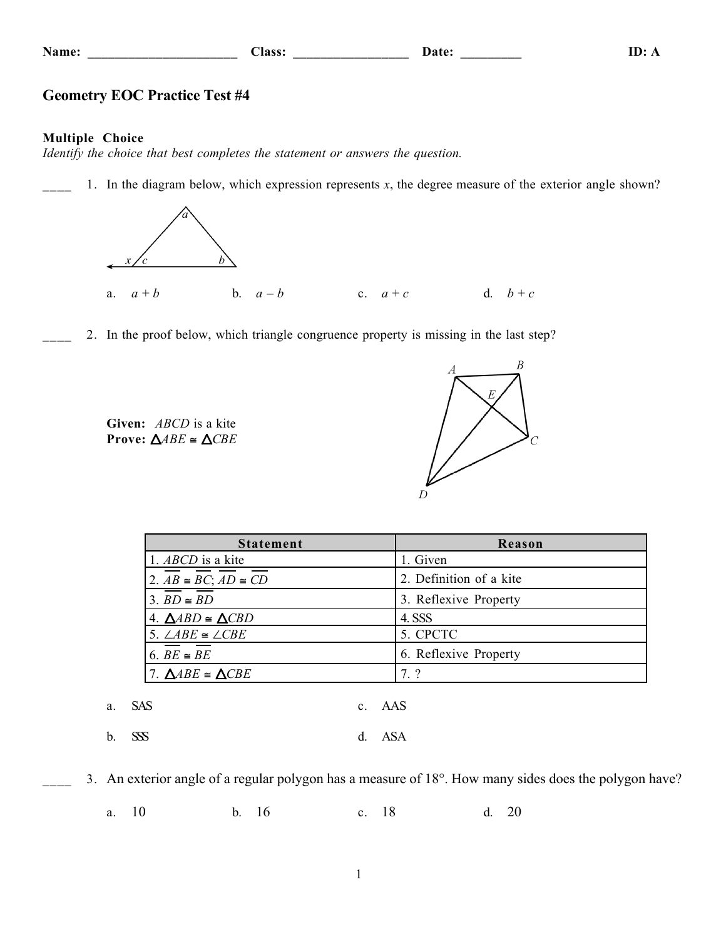| Name:  | la ce |  |  |
|--------|-------|--|--|
| $\sim$ |       |  |  |

## **Name: \_\_\_\_\_\_\_\_\_\_\_\_\_\_\_\_\_\_\_\_\_\_ Class: \_\_\_\_\_\_\_\_\_\_\_\_\_\_\_\_\_ Date: \_\_\_\_\_\_\_\_\_ ID: A**

# **Geometry EOC Practice Test #4**

## **Multiple Choice**

*Identify the choice that best completes the statement or answers the question.*

1. In the diagram below, which expression represents  $x$ , the degree measure of the exterior angle shown?



2. In the proof below, which triangle congruence property is missing in the last step?





| <b>Statement</b>                       | Reason                  |
|----------------------------------------|-------------------------|
| 1. ABCD is a kite                      | 1. Given                |
| 2. $AB \cong BC$ ; $AD \cong CD$       | 2. Definition of a kite |
| 3. $BD \cong BD$                       | 3. Reflexive Property   |
| 4. $\triangle ABD \cong \triangle CBD$ | 4. SSS                  |
| 5. $\angle ABE \cong \angle CBE$       | 5. CPCTC                |
| 6. $BE \cong BE$                       | 6. Reflexive Property   |
| 7. $\triangle ABE \cong \triangle CBE$ | 7.?                     |

a. SAS c. AAS

b. SSS d. ASA

3. An exterior angle of a regular polygon has a measure of 18°. How many sides does the polygon have?

a. 10 b. 16 c. 18 d. 20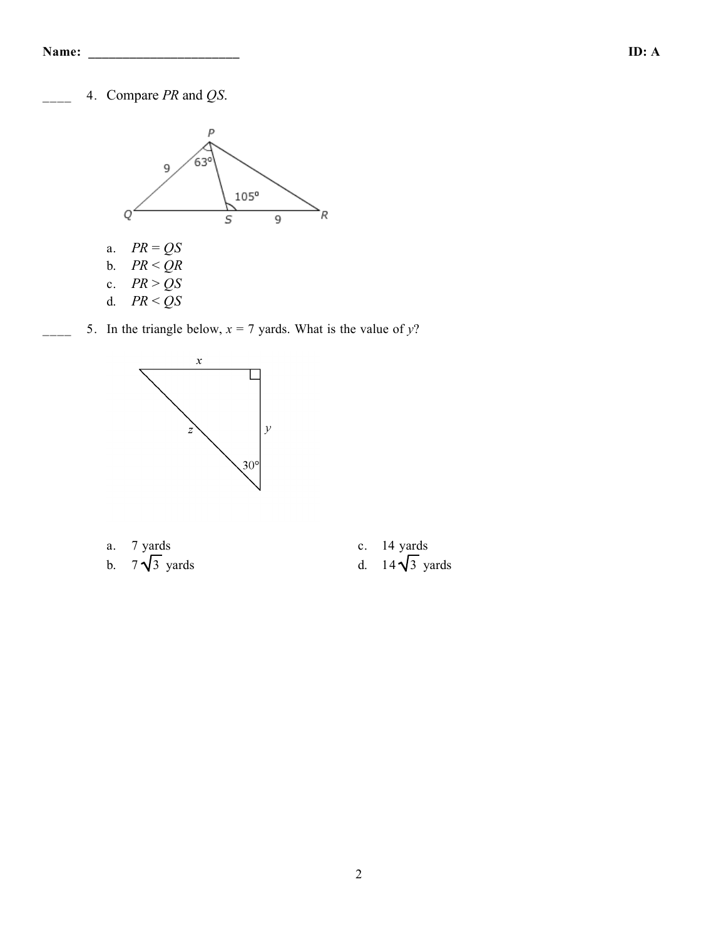\_\_\_\_ 4. Compare *PR* and *QS*.



 $\frac{1}{x}$  5. In the triangle below,  $x = 7$  yards. What is the value of *y*?



- 
- 
- a. 7 yards<br>b.  $7\sqrt{3}$  yards<br>d.  $14\sqrt{3}$  y
	- d. 14 $\sqrt{3}$  yards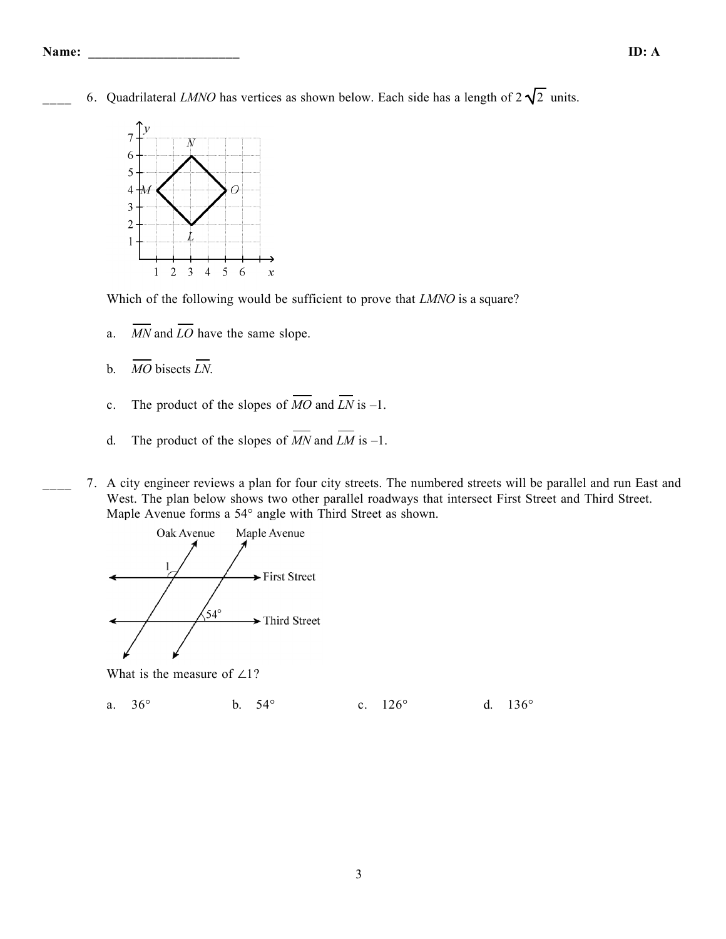6. Quadrilateral *LMNO* has vertices as shown below. Each side has a length of  $2\sqrt{2}$  units.



Which of the following would be sufficient to prove that *LMNO* is a square?

- a.  $\overline{MN}$  and  $\overline{LO}$  have the same slope.
- b. *MO* bisects *LN*.
- c. The product of the slopes of  $\overline{MO}$  and  $\overline{LN}$  is -1.
- d. The product of the slopes of  $\overline{MN}$  and  $\overline{LM}$  is -1.
- \_\_\_\_ 7. A city engineer reviews a plan for four city streets. The numbered streets will be parallel and run East and West. The plan below shows two other parallel roadways that intersect First Street and Third Street. Maple Avenue forms a 54° angle with Third Street as shown.



What is the measure of  $\angle$ 1?

a. 36° b. 54° c. 126° d. 136°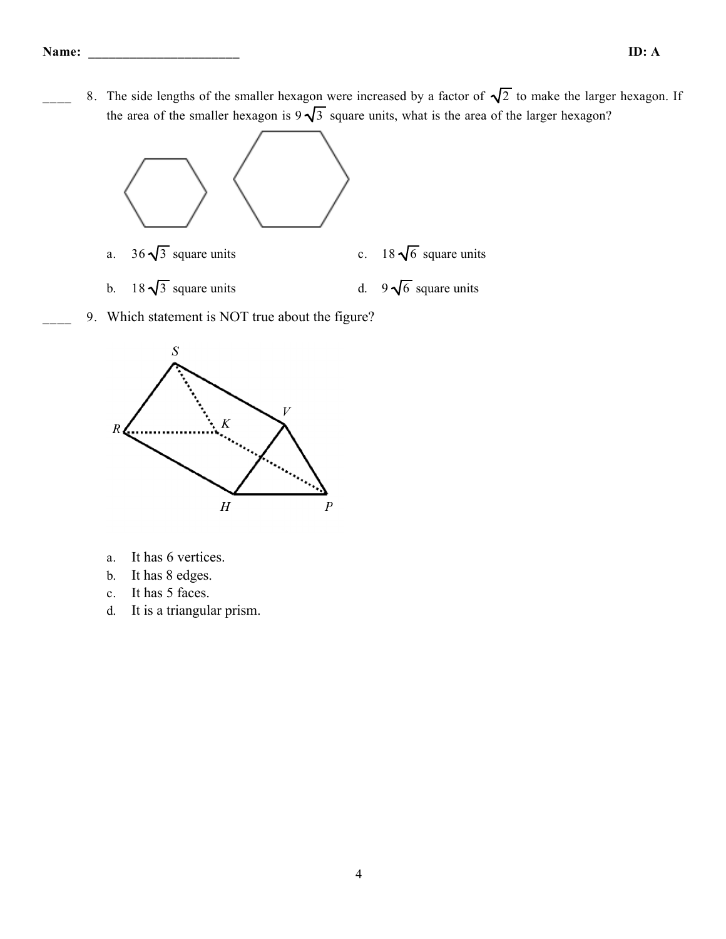8. The side lengths of the smaller hexagon were increased by a factor of  $\sqrt{2}$  to make the larger hexagon. If the area of the smaller hexagon is  $9\sqrt{3}$  square units, what is the area of the larger hexagon?



- a.  $36\sqrt{3}$  square units c.  $18\sqrt{6}$  square units
- b.  $18\sqrt{3}$  square units d.  $9\sqrt{6}$  square units
- 9. Which statement is NOT true about the figure?



- a. It has 6 vertices.
- b. It has 8 edges.
- c. It has 5 faces.
- d. It is a triangular prism.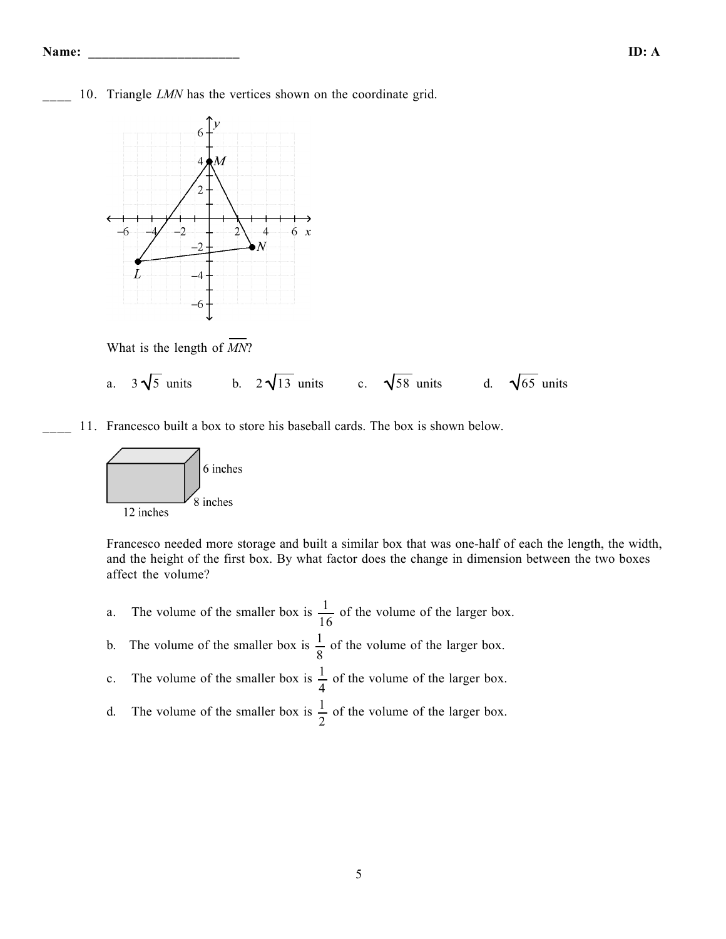- **Name: \_\_\_\_\_\_\_\_\_\_\_\_\_\_\_\_\_\_\_\_\_\_ ID: A**
- 10. Triangle *LMN* has the vertices shown on the coordinate grid.



What is the length of *MN*?

- a.  $3\sqrt{5}$  units b.  $2\sqrt{13}$  units c.  $\sqrt{58}$  units d.  $\sqrt{65}$  units
- 11. Francesco built a box to store his baseball cards. The box is shown below.



Francesco needed more storage and built a similar box that was one-half of each the length, the width, and the height of the first box. By what factor does the change in dimension between the two boxes affect the volume?

- a. The volume of the smaller box is  $\frac{1}{1}$ 16 of the volume of the larger box.
- b. The volume of the smaller box is  $\frac{1}{2}$ 8 of the volume of the larger box.
- c. The volume of the smaller box is  $\frac{1}{4}$ 4 of the volume of the larger box.
- d. The volume of the smaller box is  $\frac{1}{2}$ 2 of the volume of the larger box.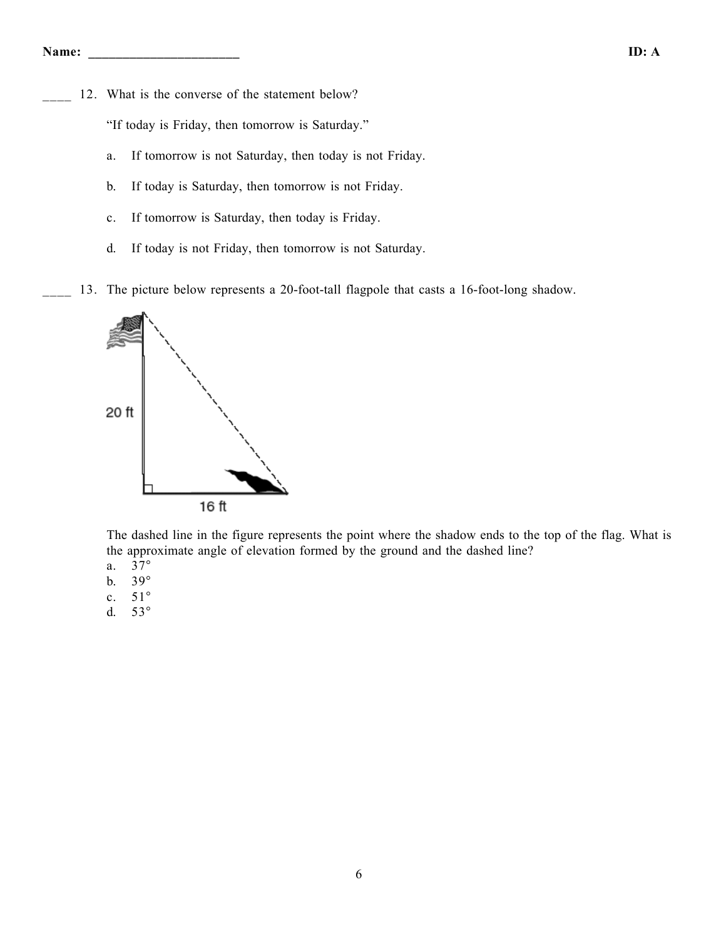12. What is the converse of the statement below?

"If today is Friday, then tomorrow is Saturday."

- a. If tomorrow is not Saturday, then today is not Friday.
- b. If today is Saturday, then tomorrow is not Friday.
- c. If tomorrow is Saturday, then today is Friday.
- d. If today is not Friday, then tomorrow is not Saturday.
- 13. The picture below represents a 20-foot-tall flagpole that casts a 16-foot-long shadow.



The dashed line in the figure represents the point where the shadow ends to the top of the flag. What is the approximate angle of elevation formed by the ground and the dashed line?

- a. 37°
- b. 39°
- c. 51°
- d. 53°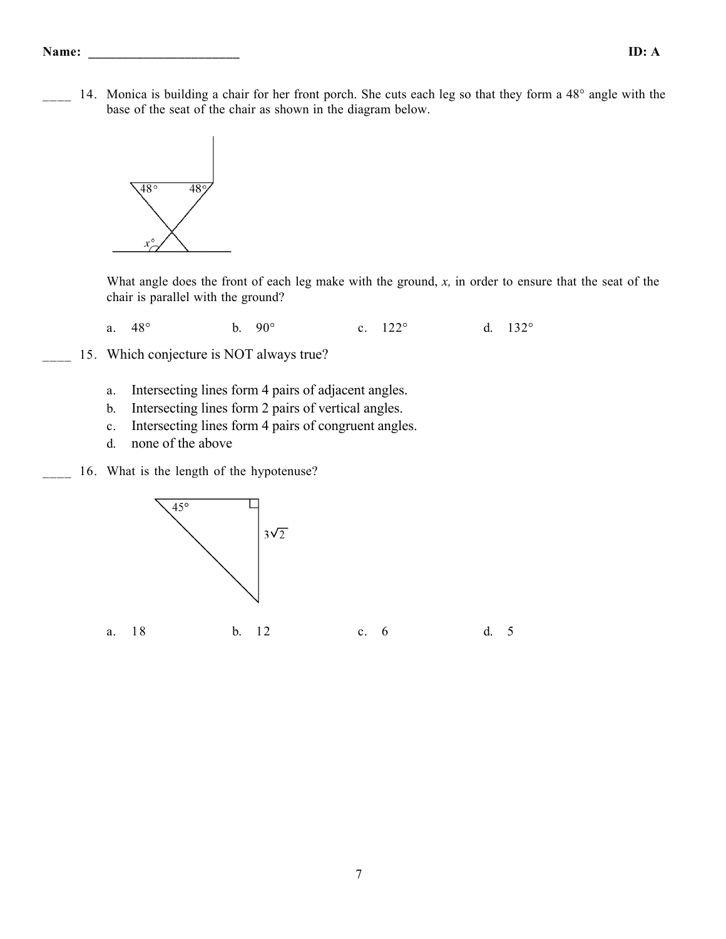#### **Name: \_\_\_\_\_\_\_\_\_\_\_\_\_\_\_\_\_\_\_\_\_\_ ID: A**

14. Monica is building a chair for her front porch. She cuts each leg so that they form a 48° angle with the base of the seat of the chair as shown in the diagram below.



What angle does the front of each leg make with the ground, *x,* in order to ensure that the seat of the chair is parallel with the ground?

a. 48° b. 90° c. 122° d. 132°

- 15. Which conjecture is NOT always true?
	- a. Intersecting lines form 4 pairs of adjacent angles.
	- b. Intersecting lines form 2 pairs of vertical angles.
	- c. Intersecting lines form 4 pairs of congruent angles.
	- d. none of the above
	- 16. What is the length of the hypotenuse?



a. 18 b. 12 c. 6 d. 5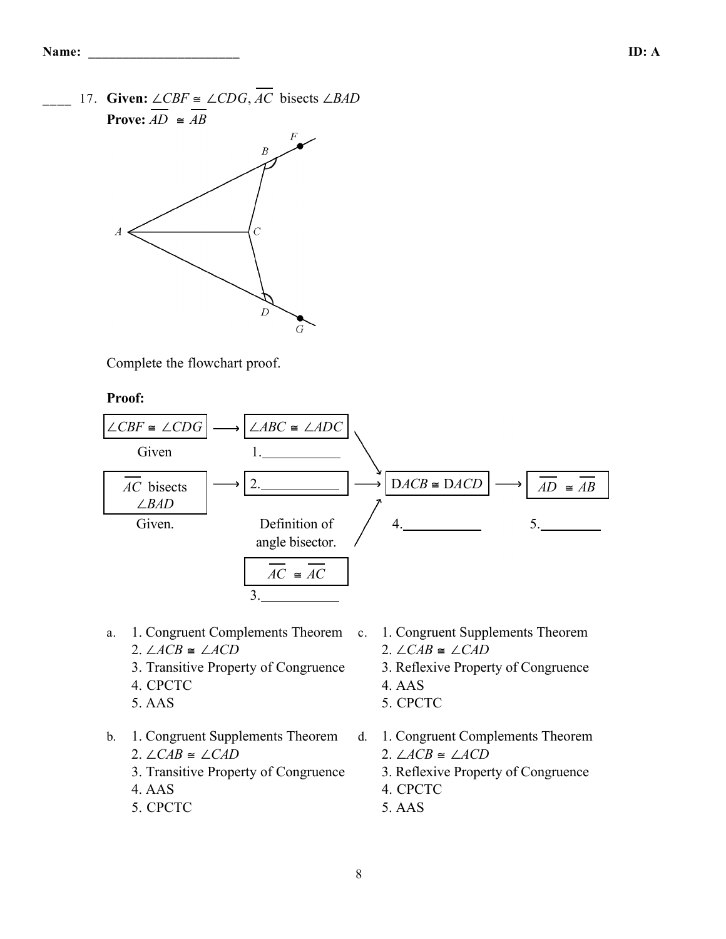17. **Given:** ∠*CBF* ≅ ∠*CDG*,  $\overline{AC}$  bisects ∠*BAD* **Prove:**  $AD \cong AB$ 



Complete the flowchart proof.

**Proof:**



- a. 1. Congruent Complements Theorem 2. ∠*ACB* ≅ ∠*ACD*
	- 3. Transitive Property of Congruence
	- 4. CPCTC
	- 5. AAS
- b. 1. Congruent Supplements Theorem 2. ∠*CAB* ≅ ∠*CAD*
	- 3. Transitive Property of Congruence
	- 4. AAS
	- 5. CPCTC
- c. 1. Congruent Supplements Theorem 2. ∠*CAB* ≅ ∠*CAD*
	- 3. Reflexive Property of Congruence
	- 4. AAS
	- 5. CPCTC
	- d. 1. Congruent Complements Theorem 2. ∠*ACB* ≅ ∠*ACD*
		- 3. Reflexive Property of Congruence
		- 4. CPCTC
		- 5. AAS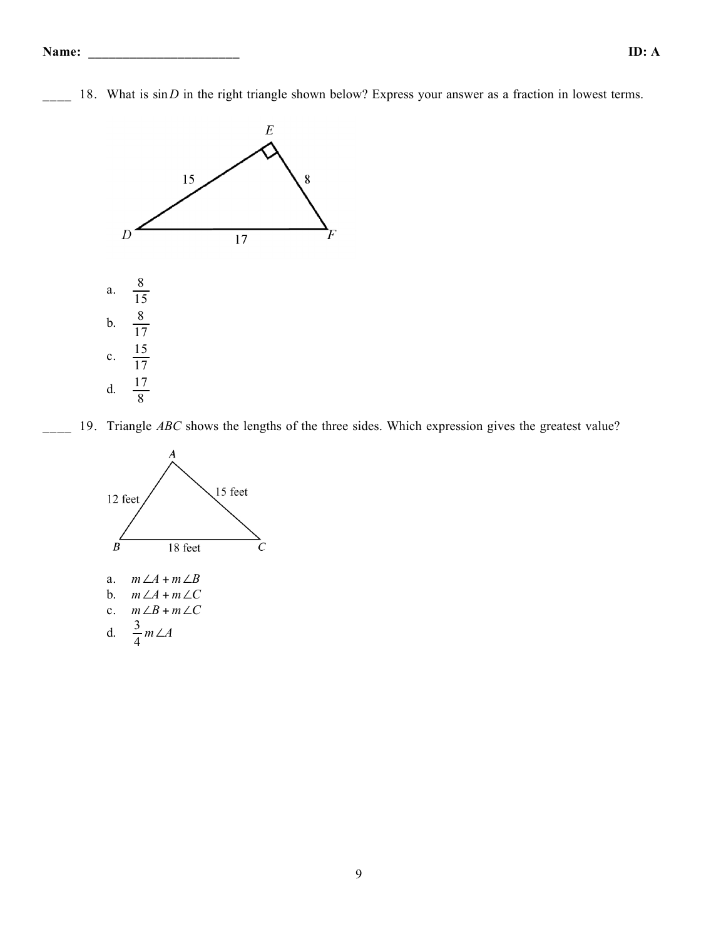18. What is  $sin D$  in the right triangle shown below? Express your answer as a fraction in lowest terms.



19. Triangle *ABC* shows the lengths of the three sides. Which expression gives the greatest value?

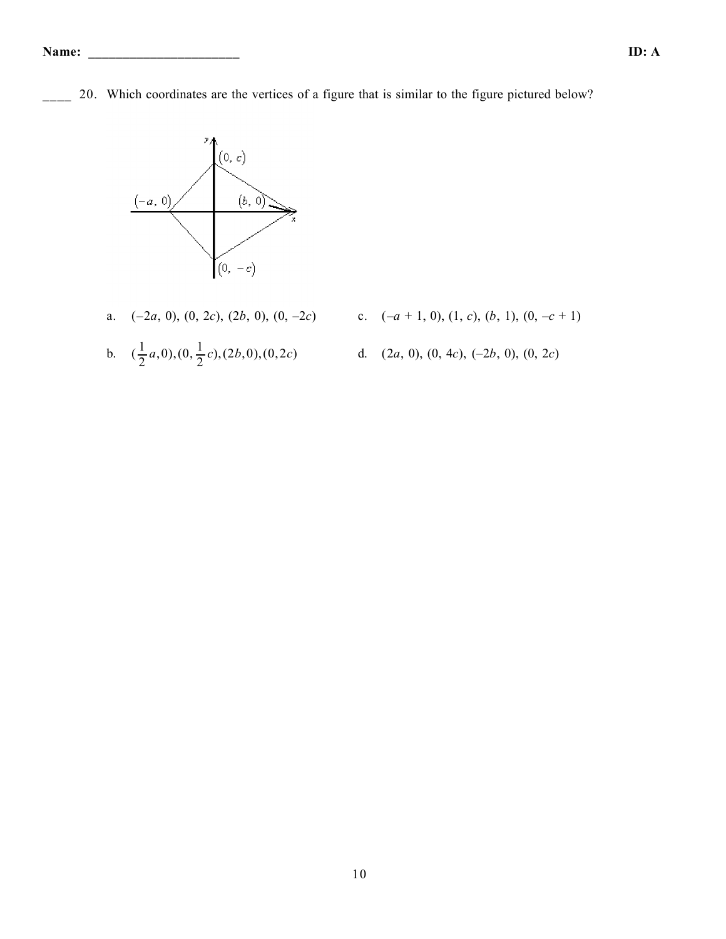20. Which coordinates are the vertices of a figure that is similar to the figure pictured below?



- 
- b.  $(\frac{1}{2}a,0),(0,\frac{1}{2}c),(2b,0),(0,2c)$  d.  $(2a, 0), (0, 4c), (-2b, 0), (0, 2c)$
- a. (–2*a*, 0), (0, 2*c*), (2*b*, 0), (0, –2*c*) c. (–*a* + 1, 0), (1, *c*), (*b*, 1), (0, –*c* + 1)
	-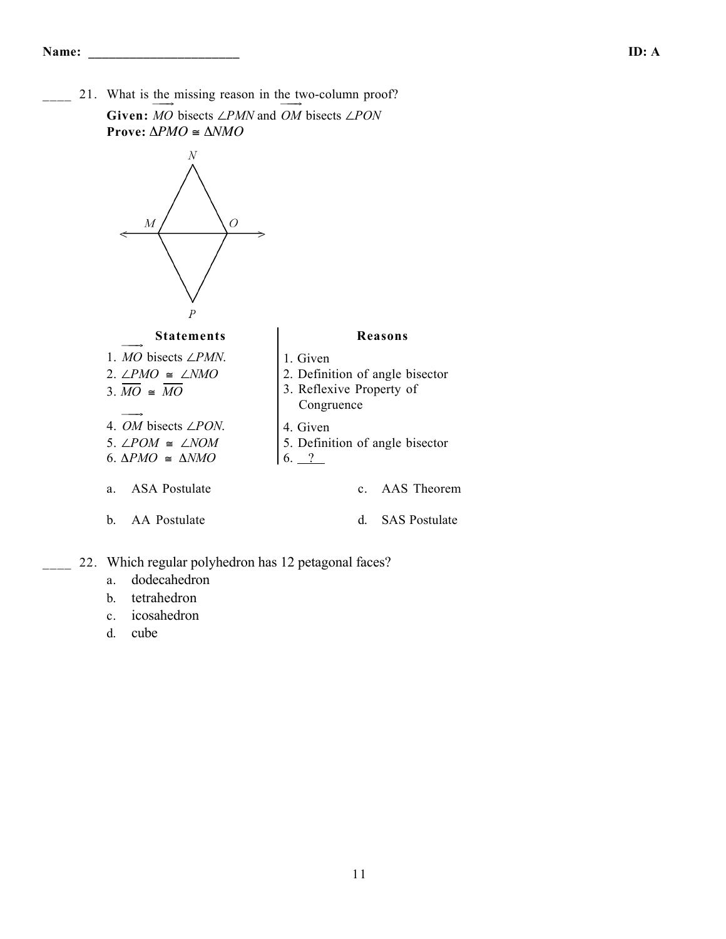21. What is the missing reason in the two-column proof? **Given:**  $\overrightarrow{MO}$  bisects ∠*PMN* and  $\overrightarrow{OM}$  bisects ∠*PON* **Prove:** Δ*PMO* ≅ Δ*NMO*



- a. dodecahedron
- b. tetrahedron
- c. icosahedron
- d. cube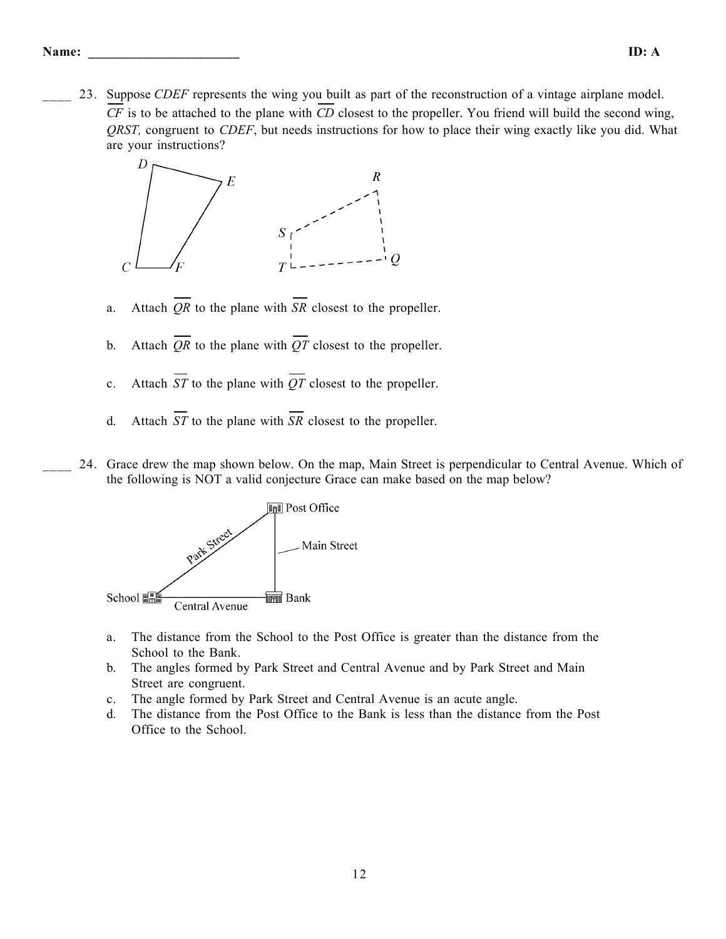\_\_\_\_ 23. Suppose *CDEF* represents the wing you built as part of the reconstruction of a vintage airplane model. *CF* is to be attached to the plane with *CD* closest to the propeller. You friend will build the second wing, *QRST,* congruent to *CDEF*, but needs instructions for how to place their wing exactly like you did. What are your instructions?



- a. Attach *QR* to the plane with *SR* closest to the propeller.
- b. Attach  $\overline{OR}$  to the plane with  $\overline{OT}$  closest to the propeller.
- c. Attach *ST* to the plane with *QT* closest to the propeller.
- d. Attach *ST* to the plane with *SR* closest to the propeller.
- \_\_\_\_ 24. Grace drew the map shown below. On the map, Main Street is perpendicular to Central Avenue. Which of the following is NOT a valid conjecture Grace can make based on the map below?



- a. The distance from the School to the Post Office is greater than the distance from the School to the Bank.
- b. The angles formed by Park Street and Central Avenue and by Park Street and Main Street are congruent.
- c. The angle formed by Park Street and Central Avenue is an acute angle.
- d. The distance from the Post Office to the Bank is less than the distance from the Post Office to the School.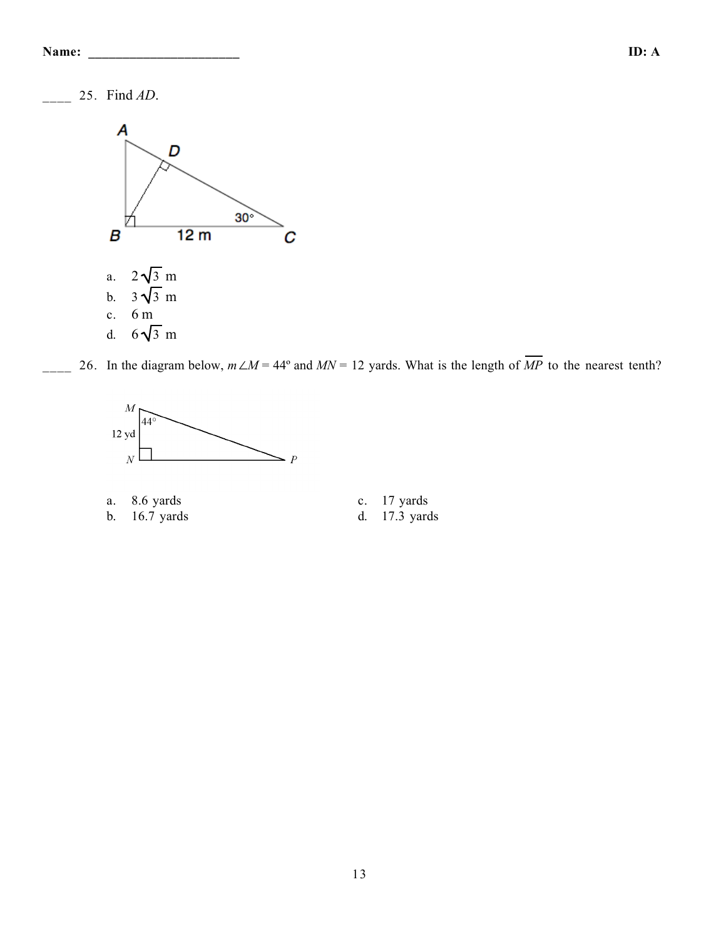| Name: | ID: A |  |
|-------|-------|--|
|       |       |  |

\_\_\_\_ 25. Find *AD*.



26. In the diagram below,  $m\angle M = 44^\circ$  and  $MN = 12$  yards. What is the length of  $\overline{MP}$  to the nearest tenth?



- a. 8.6 yards c. 17 yards c. 17 yards d. 17.3 yards b. 16.7 yards d. 17.3 yards
	-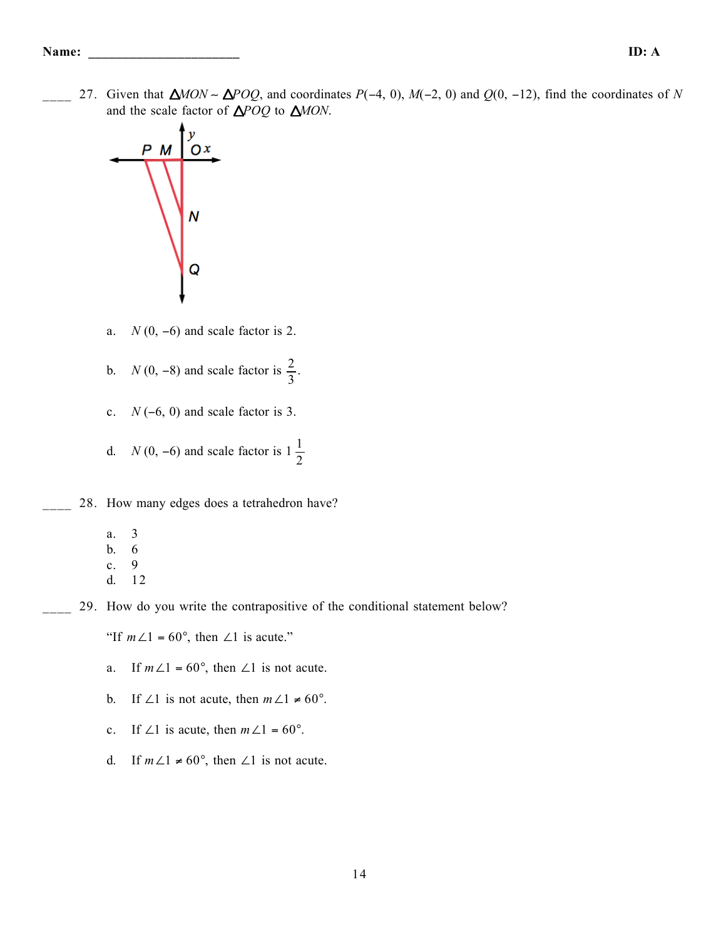\_\_\_\_ 27. Given that *MON* ∼ *POQ*, and coordinates *P*(−4, 0), *M*(−2, 0) and *Q*(0, −12), find the coordinates of *N* and the scale factor of  $\triangle POQ$  to  $\triangle MON$ .



- a. *N* (0, −6) and scale factor is 2.
- b. *N* (0, -8) and scale factor is  $\frac{2}{3}$ .
- c. *N* (−6, 0) and scale factor is 3.
- d. *N* (0, -6) and scale factor is  $1\frac{1}{2}$
- 28. How many edges does a tetrahedron have?
	- a. 3
	- b. 6
	- c. 9
	- d. 12
- \_\_\_\_ 29. How do you write the contrapositive of the conditional statement below?

"If  $m\angle 1 = 60^\circ$ , then  $\angle 1$  is acute."

- a. If  $m\angle 1 = 60^\circ$ , then  $\angle 1$  is not acute.
- b. If ∠1 is not acute, then  $m\angle 1 \neq 60^\circ$ .
- c. If ∠1 is acute, then  $m\angle 1 = 60^\circ$ .
- d. If  $m\angle 1 \neq 60^{\circ}$ , then  $\angle 1$  is not acute.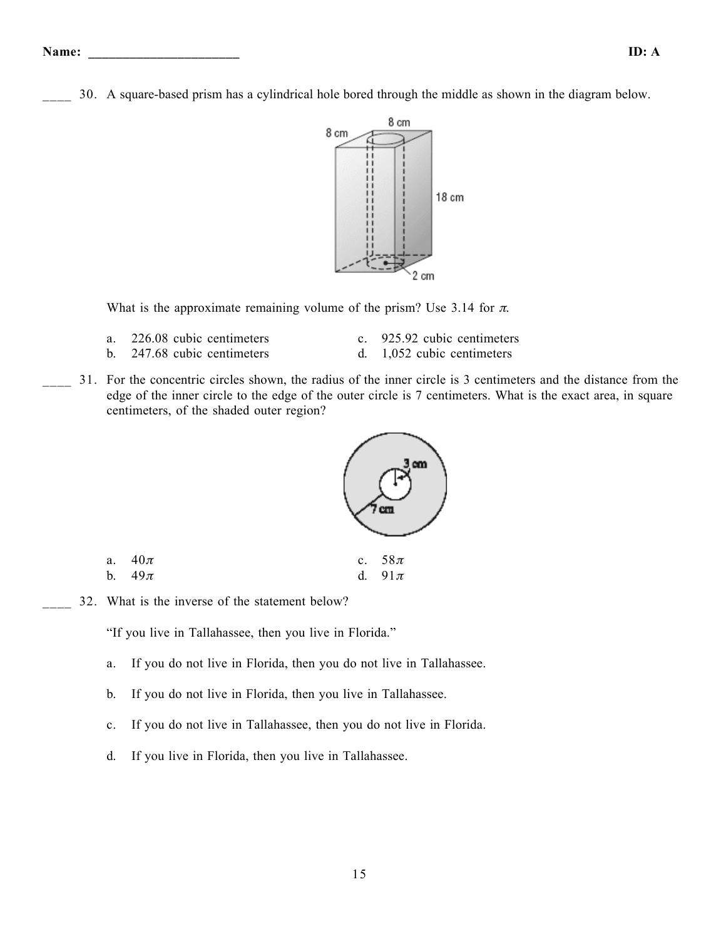- **Name: \_\_\_\_\_\_\_\_\_\_\_\_\_\_\_\_\_\_\_\_\_\_ ID: A**
- \_\_\_\_ 30. A square-based prism has a cylindrical hole bored through the middle as shown in the diagram below.



What is the approximate remaining volume of the prism? Use 3.14 for  $\pi$ .

- a. 226.08 cubic centimeters c. 925.92 cubic centimeters
	-
- b. 247.68 cubic centimeters d. 1,052 cubic centimeters
- 
- \_\_\_\_ 31. For the concentric circles shown, the radius of the inner circle is 3 centimeters and the distance from the edge of the inner circle to the edge of the outer circle is 7 centimeters. What is the exact area, in square centimeters, of the shaded outer region?



a.  $40\pi$  c.  $58\pi$ b.  $49\pi$  d.  $91\pi$ 

32. What is the inverse of the statement below?

"If you live in Tallahassee, then you live in Florida."

- a. If you do not live in Florida, then you do not live in Tallahassee.
- b. If you do not live in Florida, then you live in Tallahassee.
- c. If you do not live in Tallahassee, then you do not live in Florida.
- d. If you live in Florida, then you live in Tallahassee.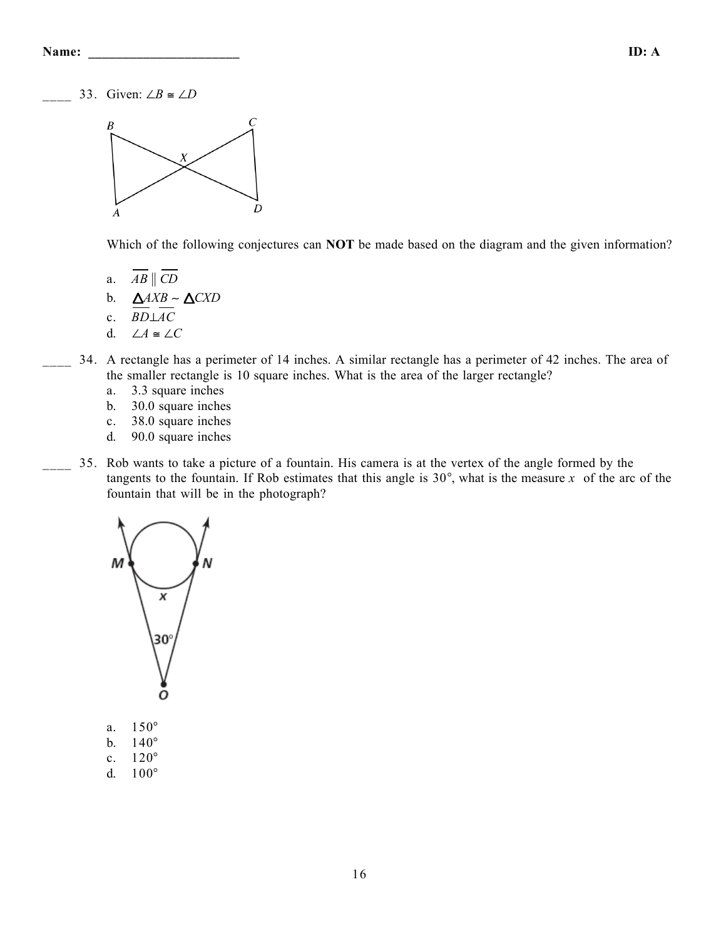33. Given: ∠*B*  $\cong$  ∠*D* 



Which of the following conjectures can **NOT** be made based on the diagram and the given information?

- a.  $AB \parallel CD$
- b. *AXB* ∼ *CXD*
- c. *BD*⊥*AC*
- d. ∠*A* ≅ ∠*C*
- \_\_\_\_ 34. A rectangle has a perimeter of 14 inches. A similar rectangle has a perimeter of 42 inches. The area of the smaller rectangle is 10 square inches. What is the area of the larger rectangle?
	- a. 3.3 square inches
	- b. 30.0 square inches
	- c. 38.0 square inches
	- d. 90.0 square inches
- \_\_\_\_ 35. Rob wants to take a picture of a fountain. His camera is at the vertex of the angle formed by the tangents to the fountain. If Rob estimates that this angle is  $30^{\circ}$ , what is the measure *x* of the arc of the fountain that will be in the photograph?



- a. 150°
- b. 140°
- c. 120°
- d. 100°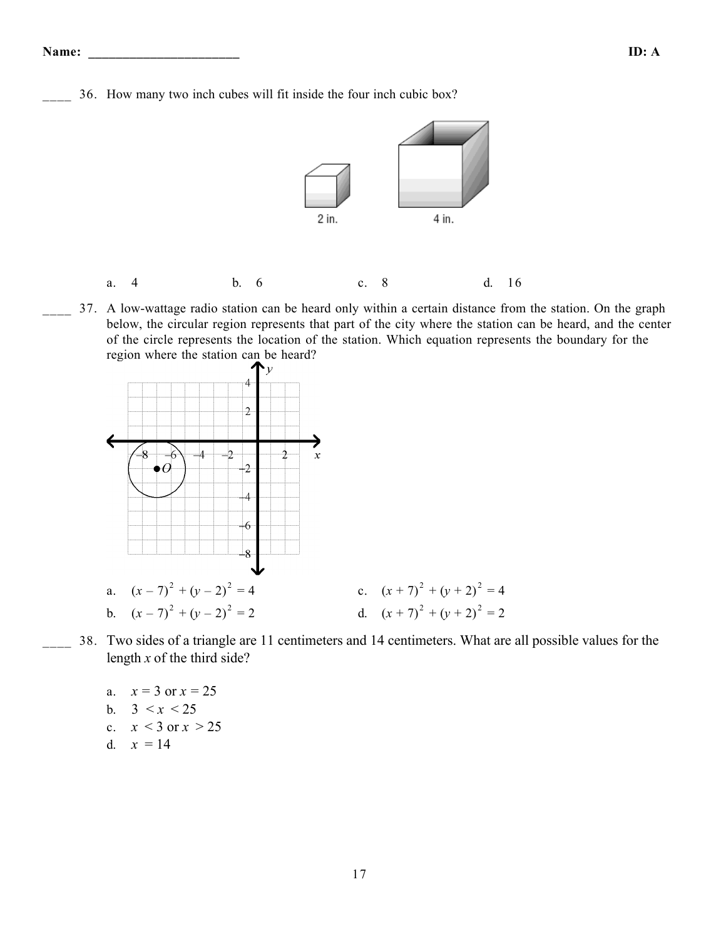\_\_\_\_ 36. How many two inch cubes will fit inside the four inch cubic box?



- a. 4 b. 6 c. 8 d. 16
- 37. A low-wattage radio station can be heard only within a certain distance from the station. On the graph below, the circular region represents that part of the city where the station can be heard, and the center of the circle represents the location of the station. Which equation represents the boundary for the region where the station can be heard?



- \_\_\_\_ 38. Two sides of a triangle are 11 centimeters and 14 centimeters. What are all possible values for the length *x* of the third side?
	- a.  $x = 3$  or  $x = 25$ b.  $3 < x < 25$ c.  $x < 3$  or  $x > 25$ d.  $x = 14$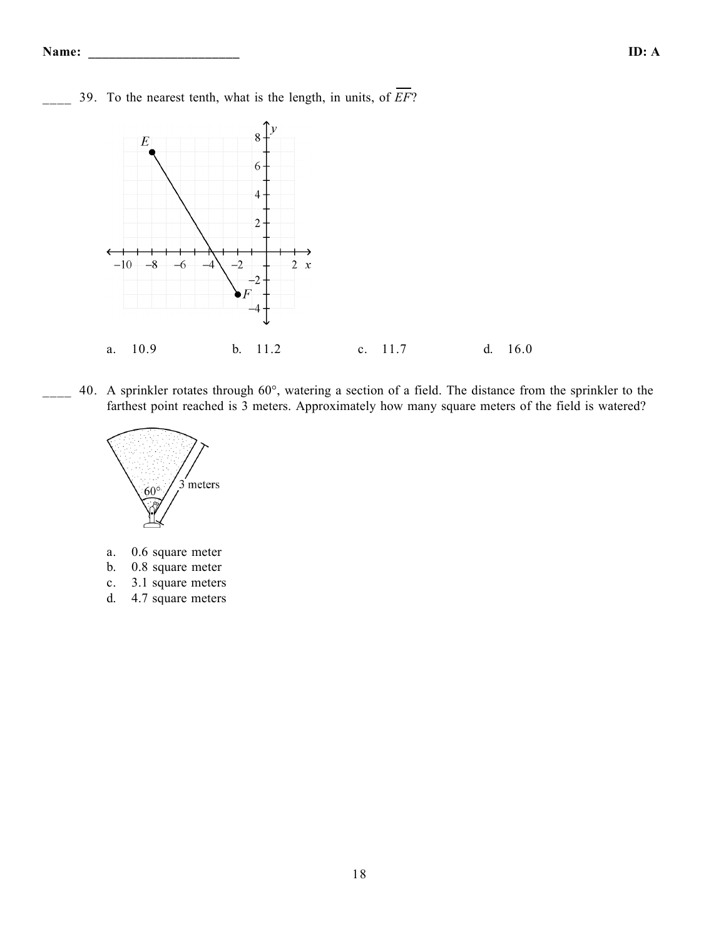\_\_\_\_ 39. To the nearest tenth, what is the length, in units, of *EF*?



\_\_\_\_ 40. A sprinkler rotates through 60°, watering a section of a field. The distance from the sprinkler to the farthest point reached is 3 meters. Approximately how many square meters of the field is watered?



- a. 0.6 square meter
- b. 0.8 square meter
- c. 3.1 square meters
- d. 4.7 square meters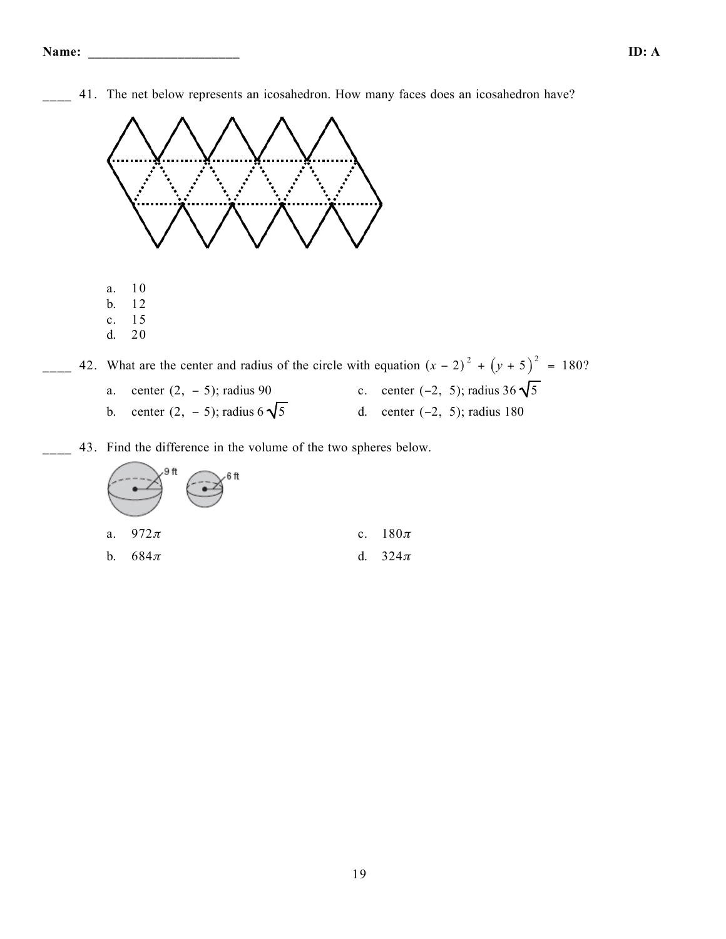41. The net below represents an icosahedron. How many faces does an icosahedron have?



 $\frac{42}{x-2}$  42. What are the center and radius of the circle with equation  $(x-2)^2 + (y+5)^2 = 180$ ? a. center  $(2, -5)$ ; radius 90 c. center  $(-2, 5)$ ; radius 36  $\sqrt{5}$ b. center  $(2, -5)$ ; radius  $6\sqrt{5}$  d. center  $(-2, 5)$ ; radius 180

\_\_\_\_ 43. Find the difference in the volume of the two spheres below.

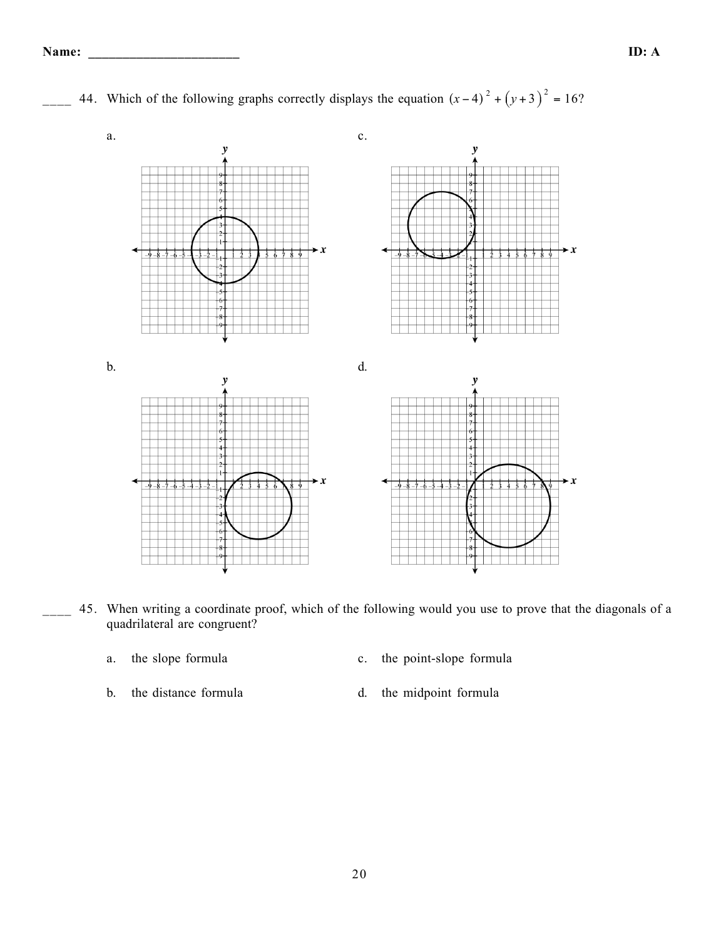

 $\frac{44}{x-2}$  44. Which of the following graphs correctly displays the equation  $(x-4)^2 + (y+3)^2 = 16$ ?

- 45. When writing a coordinate proof, which of the following would you use to prove that the diagonals of a quadrilateral are congruent?
	-
	- a. the slope formula c. the point-slope formula
	-
	- b. the distance formula d. the midpoint formula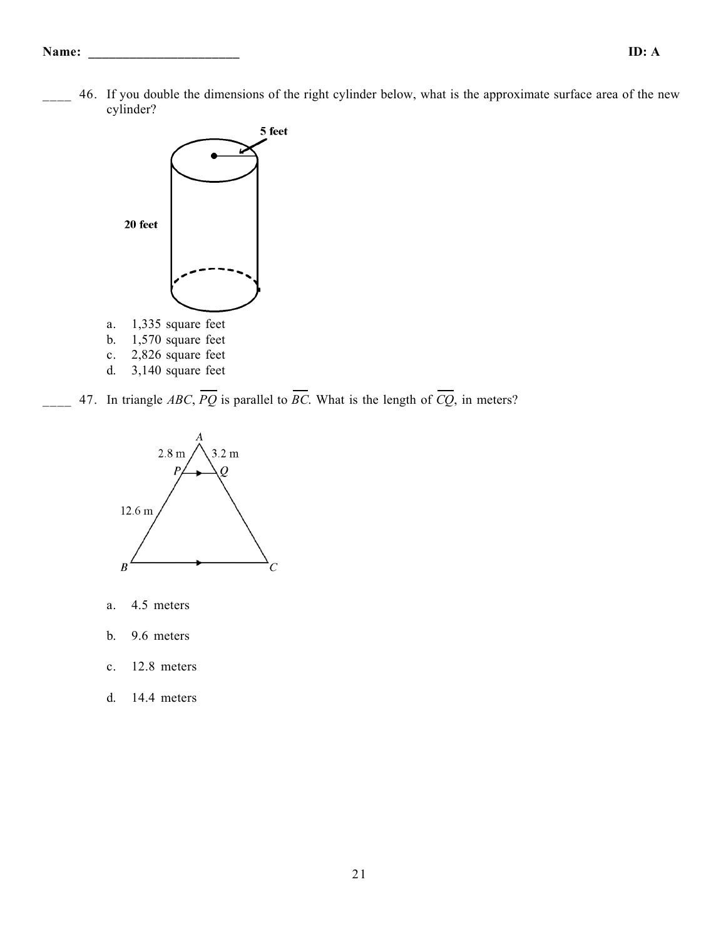46. If you double the dimensions of the right cylinder below, what is the approximate surface area of the new cylinder?



47. In triangle *ABC*,  $\overline{PQ}$  is parallel to  $\overline{BC}$ . What is the length of  $\overline{CQ}$ , in meters?



- a. 4.5 meters
- b. 9.6 meters
- c. 12.8 meters
- d. 14.4 meters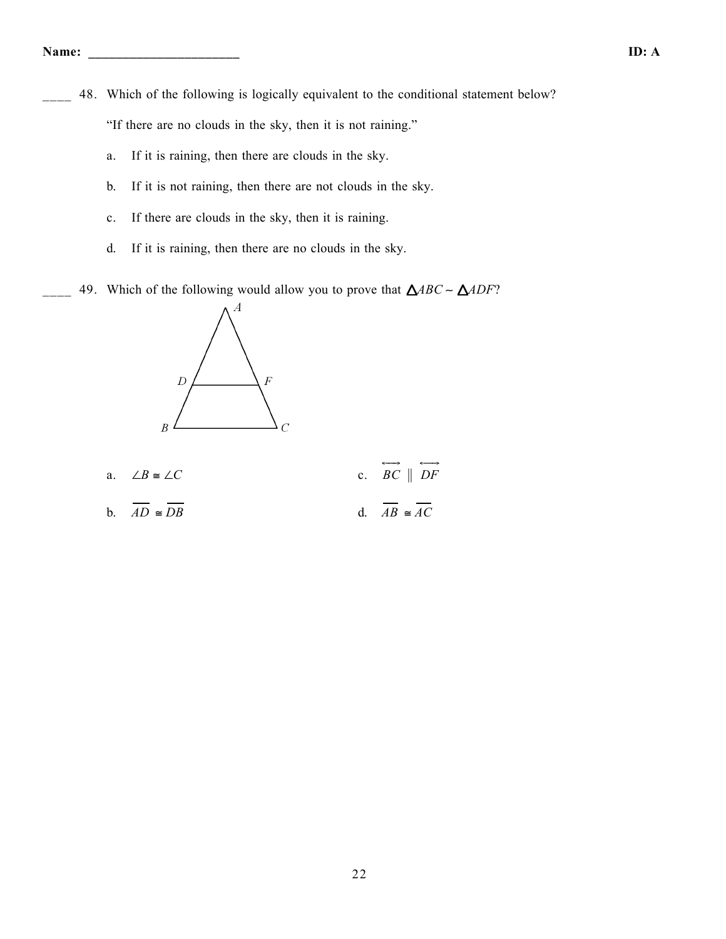- 48. Which of the following is logically equivalent to the conditional statement below? "If there are no clouds in the sky, then it is not raining."
	- a. If it is raining, then there are clouds in the sky.
	- b. If it is not raining, then there are not clouds in the sky.
	- c. If there are clouds in the sky, then it is raining.
	- d. If it is raining, then there are no clouds in the sky.
- \_\_\_\_ 49. Which of the following would allow you to prove that *ABC* ∼ *ADF*?



a.  $∠B ≅ ∠C$  $\overrightarrow{BC} \parallel \overrightarrow{DF}$ b.  $\overline{AD} \cong \overline{DB}$  d.  $\overline{AB} \cong \overline{AC}$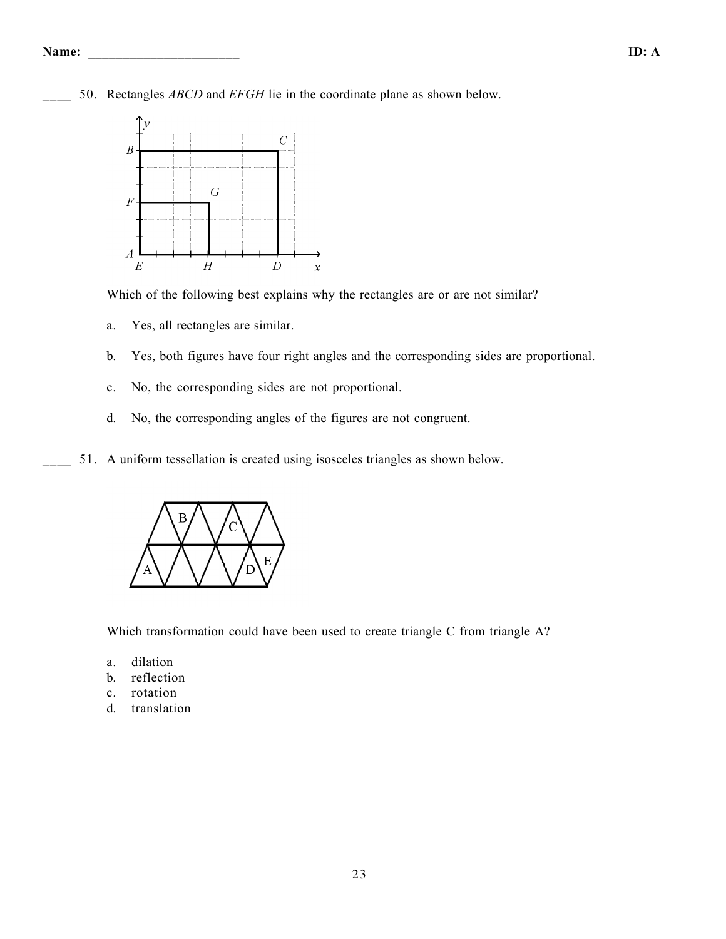

50. Rectangles *ABCD* and *EFGH* lie in the coordinate plane as shown below.

Which of the following best explains why the rectangles are or are not similar?

- a. Yes, all rectangles are similar.
- b. Yes, both figures have four right angles and the corresponding sides are proportional.
- c. No, the corresponding sides are not proportional.
- d. No, the corresponding angles of the figures are not congruent.
- 51. A uniform tessellation is created using isosceles triangles as shown below.



Which transformation could have been used to create triangle C from triangle A?

- a. dilation
- b. reflection
- c. rotation
- d. translation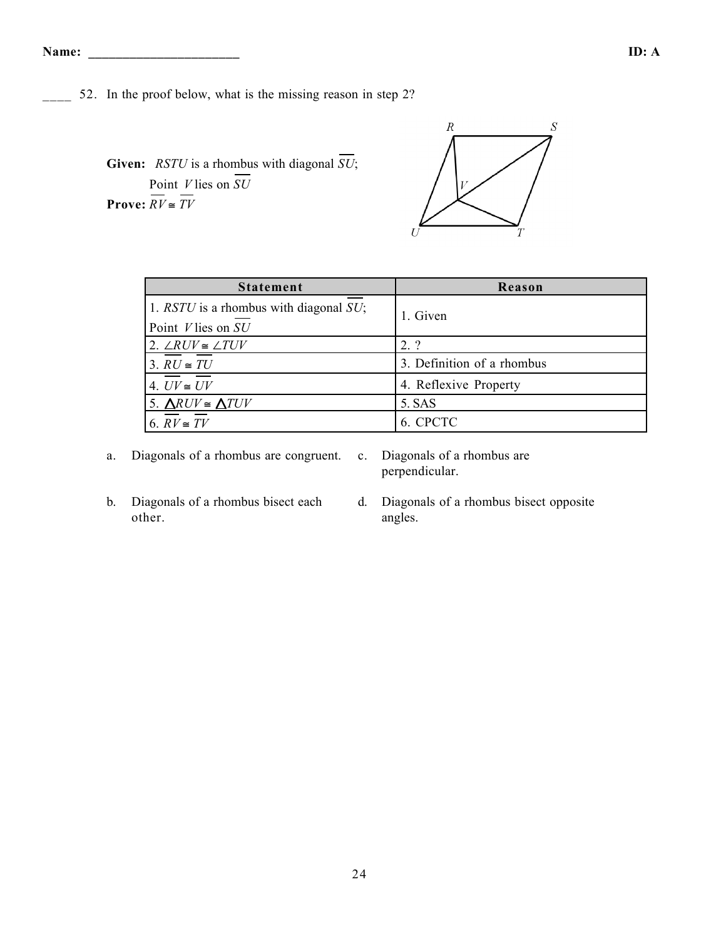\_\_\_\_ 52. In the proof below, what is the missing reason in step 2?

**Given:** *RSTU* is a rhombus with diagonal *SU*; Point *V* lies on *SU* **Prove:**  $\overline{RV} \cong \overline{TV}$ 



| <b>Statement</b>                            | Reason                     |  |  |
|---------------------------------------------|----------------------------|--|--|
| 1. $RSTU$ is a rhombus with diagonal $SU$ ; | 1. Given                   |  |  |
| Point $V$ lies on $SU$                      |                            |  |  |
| 2. $\angle RUV \cong \angle TUV$            | 2.?                        |  |  |
| 3. $RU \cong TU$                            | 3. Definition of a rhombus |  |  |
| 4. $UV \cong UV$                            | 4. Reflexive Property      |  |  |
| 5. $\triangle RUV \cong \triangle TUV$      | 5. SAS                     |  |  |
| 6. $RV \cong TV$                            | 6. CPCTC                   |  |  |

a. Diagonals of a rhombus are congruent. c. Diagonals of a rhombus are

perpendicular.

- b. Diagonals of a rhombus bisect each other.
- d. Diagonals of a rhombus bisect opposite angles.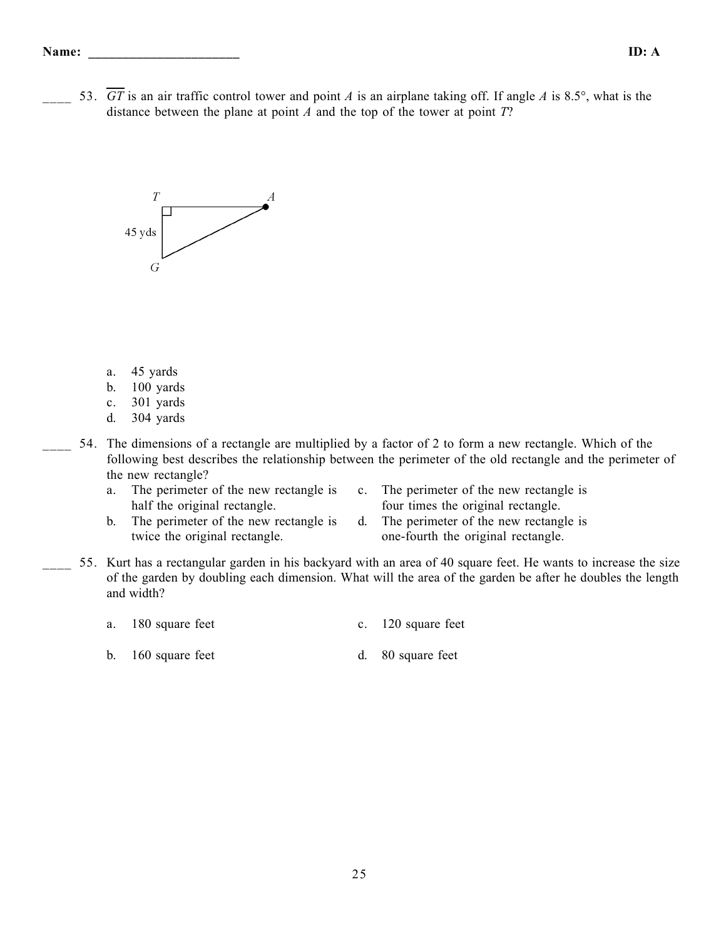\_\_\_\_ 53. *GT* is an air traffic control tower and point *A* is an airplane taking off. If angle *A* is 8.5°, what is the distance between the plane at point *A* and the top of the tower at point *T*?



- a. 45 yards
- b. 100 yards
- c. 301 yards
- d. 304 yards
- 54. The dimensions of a rectangle are multiplied by a factor of 2 to form a new rectangle. Which of the following best describes the relationship between the perimeter of the old rectangle and the perimeter of the new rectangle?
	- a. The perimeter of the new rectangle is half the original rectangle.
- c. The perimeter of the new rectangle is four times the original rectangle.
- b. The perimeter of the new rectangle is twice the original rectangle.
- d. The perimeter of the new rectangle is one-fourth the original rectangle.
- \_\_\_\_ 55. Kurt has a rectangular garden in his backyard with an area of 40 square feet. He wants to increase the size of the garden by doubling each dimension. What will the area of the garden be after he doubles the length and width?
	- a. 180 square feet c. 120 square feet
	- b. 160 square feet d. 80 square feet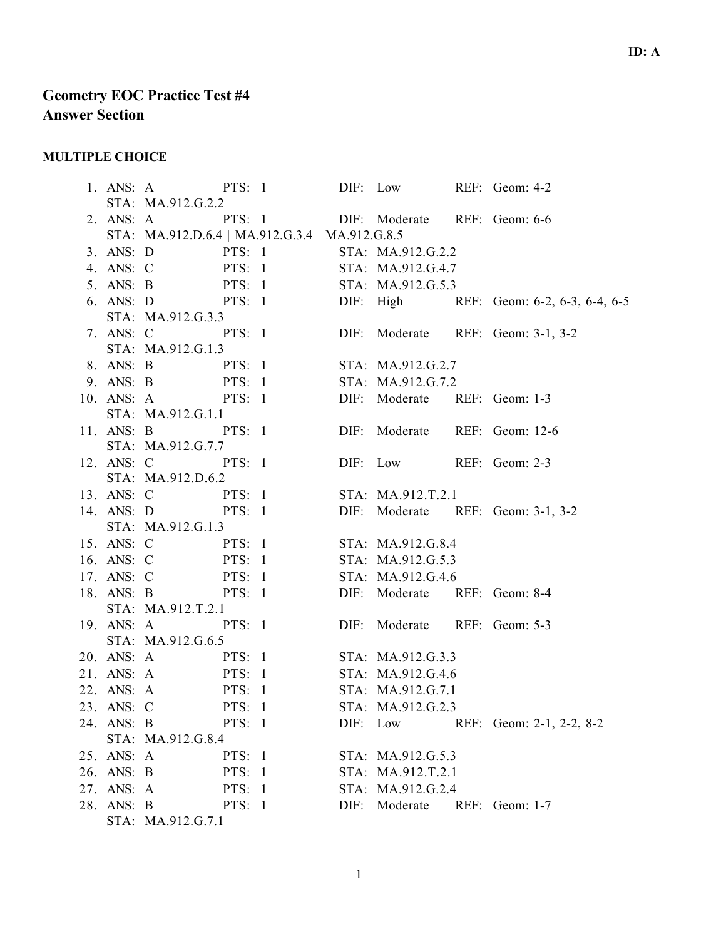# **Geometry EOC Practice Test #4 Answer Section**

# **MULTIPLE CHOICE**

|            | 1. ANS: A PTS: 1 DIF: Low REF: Geom: 4-2                                                                                                 |        |  |  |                              |  |                                                                                                      |  |
|------------|------------------------------------------------------------------------------------------------------------------------------------------|--------|--|--|------------------------------|--|------------------------------------------------------------------------------------------------------|--|
|            | STA: MA.912.G.2.2                                                                                                                        |        |  |  |                              |  |                                                                                                      |  |
|            | 2. ANS: A PTS: 1 DIF: Moderate REF: Geom: 6-6                                                                                            |        |  |  |                              |  |                                                                                                      |  |
|            | STA: MA.912.D.6.4   MA.912.G.3.4   MA.912.G.8.5                                                                                          |        |  |  |                              |  |                                                                                                      |  |
|            |                                                                                                                                          |        |  |  |                              |  |                                                                                                      |  |
|            | 3. ANS: D PTS: 1 STA: MA.912.G.2.2<br>4. ANS: C PTS: 1 STA: MA.912.G.4.7                                                                 |        |  |  |                              |  |                                                                                                      |  |
|            |                                                                                                                                          |        |  |  |                              |  | 5. ANS: B<br>FTS: 1 STA: MA.912.G.5.3<br>6. ANS: D<br>PTS: 1 DIF: High REF: Geom: 6-2, 6-3, 6-4, 6-5 |  |
|            |                                                                                                                                          |        |  |  |                              |  |                                                                                                      |  |
|            | STA: MA.912.G.3.3                                                                                                                        |        |  |  |                              |  |                                                                                                      |  |
|            |                                                                                                                                          |        |  |  |                              |  | 7. ANS: C PTS: 1 DIF: Moderate REF: Geom: 3-1, 3-2                                                   |  |
|            | STA: MA.912.G.1.3                                                                                                                        |        |  |  |                              |  |                                                                                                      |  |
|            | 8. ANS: B PTS: 1 STA: MA.912.G.2.7                                                                                                       |        |  |  |                              |  |                                                                                                      |  |
|            | 9. ANS: B PTS: 1 STA: MA.912.G.7.2                                                                                                       |        |  |  |                              |  |                                                                                                      |  |
|            | 10. ANS: A PTS: 1 DIF: Moderate REF: Geom: 1-3                                                                                           |        |  |  |                              |  |                                                                                                      |  |
|            | STA: MA.912.G.1.1                                                                                                                        |        |  |  |                              |  |                                                                                                      |  |
|            | 11. ANS: B PTS: 1 DIF: Moderate REF: Geom: 12-6                                                                                          |        |  |  |                              |  |                                                                                                      |  |
|            | STA: MA.912.G.7.7                                                                                                                        |        |  |  |                              |  |                                                                                                      |  |
|            | 12. ANS: C PTS: 1 DIF: Low REF: Geom: 2-3                                                                                                |        |  |  |                              |  |                                                                                                      |  |
|            | STA: MA.912.D.6.2                                                                                                                        |        |  |  |                              |  |                                                                                                      |  |
|            | 13. ANS: C PTS: 1 STA: MA.912.T.2.1                                                                                                      |        |  |  |                              |  |                                                                                                      |  |
|            |                                                                                                                                          |        |  |  |                              |  | 14. ANS: D PTS: 1 DIF: Moderate REF: Geom: 3-1, 3-2                                                  |  |
|            | STA: MA.912.G.1.3                                                                                                                        |        |  |  |                              |  |                                                                                                      |  |
|            | 15. ANS: C PTS: 1 STA: MA.912.G.8.4                                                                                                      |        |  |  |                              |  |                                                                                                      |  |
|            | 16. ANS: C PTS: 1 STA: MA.912.G.5.3                                                                                                      |        |  |  |                              |  |                                                                                                      |  |
|            | 17. ANS: C PTS: 1 STA: MA.912.G.4.6                                                                                                      |        |  |  |                              |  |                                                                                                      |  |
|            | 18. ANS: B PTS: 1 DIF: Moderate REF: Geom: 8-4                                                                                           |        |  |  |                              |  |                                                                                                      |  |
|            | STA: MA.912.T.2.1                                                                                                                        |        |  |  |                              |  |                                                                                                      |  |
|            | 19. ANS: A PTS: 1 DIF: Moderate REF: Geom: 5-3                                                                                           |        |  |  |                              |  |                                                                                                      |  |
|            | STA: MA.912.G.6.5                                                                                                                        |        |  |  |                              |  |                                                                                                      |  |
|            | 20. ANS: A PTS: 1 STA: MA.912.G.3.3                                                                                                      |        |  |  |                              |  |                                                                                                      |  |
|            | 21. ANS: A<br>22. ANS: A<br>22. ANS: A<br>22. ANS: A<br>22. ANS: A<br>22. ANS: A<br>22. ANS: A<br>22. ANS: A<br>22. ANS: A<br>22. ANS: A |        |  |  |                              |  |                                                                                                      |  |
|            |                                                                                                                                          |        |  |  |                              |  |                                                                                                      |  |
|            | 23. ANS: C PTS: 1 STA: MA.912.G.2.3                                                                                                      |        |  |  |                              |  |                                                                                                      |  |
| 24. ANS: B | <b>PTS:</b> 1                                                                                                                            |        |  |  |                              |  | DIF: Low REF: Geom: 2-1, 2-2, 8-2                                                                    |  |
|            | STA: MA.912.G.8.4                                                                                                                        |        |  |  |                              |  |                                                                                                      |  |
| 25. ANS: A |                                                                                                                                          | PTS: 1 |  |  | STA: MA.912.G.5.3            |  |                                                                                                      |  |
| 26. ANS: B |                                                                                                                                          | PTS: 1 |  |  | STA: MA.912.T.2.1            |  |                                                                                                      |  |
| 27. ANS: A |                                                                                                                                          | PTS: 1 |  |  | STA: MA.912.G.2.4            |  |                                                                                                      |  |
| 28. ANS: B |                                                                                                                                          | PTS: 1 |  |  | DIF: Moderate REF: Geom: 1-7 |  |                                                                                                      |  |
|            | STA: MA.912.G.7.1                                                                                                                        |        |  |  |                              |  |                                                                                                      |  |
|            |                                                                                                                                          |        |  |  |                              |  |                                                                                                      |  |